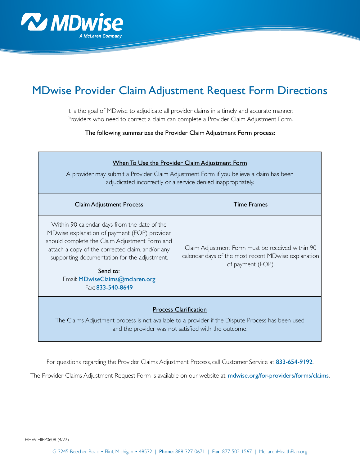

## MDwise Provider Claim Adjustment Request Form Directions

It is the goal of MDwise to adjudicate all provider claims in a timely and accurate manner. Providers who need to correct a claim can complete a Provider Claim Adjustment Form.

The following summarizes the Provider Claim Adjustment Form process:

| When To Use the Provider Claim Adjustment Form<br>A provider may submit a Provider Claim Adjustment Form if you believe a claim has been<br>adjudicated incorrectly or a service denied inappropriately.                                                                                                              |                                                                                                                              |
|-----------------------------------------------------------------------------------------------------------------------------------------------------------------------------------------------------------------------------------------------------------------------------------------------------------------------|------------------------------------------------------------------------------------------------------------------------------|
| <b>Claim Adjustment Process</b>                                                                                                                                                                                                                                                                                       | <b>Time Frames</b>                                                                                                           |
| Within 90 calendar days from the date of the<br>MDwise explanation of payment (EOP) provider<br>should complete the Claim Adjustment Form and<br>attach a copy of the corrected claim, and/or any<br>supporting documentation for the adjustment.<br>Send to:<br>Email: MDwiseClaims@mclaren.org<br>Fax: 833-540-8649 | Claim Adjustment Form must be received within 90<br>calendar days of the most recent MDwise explanation<br>of payment (EOP). |
| <b>Process Clarification</b><br>The Claims Adjustment process is not available to a provider if the Dispute Process has been used                                                                                                                                                                                     |                                                                                                                              |

and the provider was not satisfied with the outcome.

For questions regarding the Provider Claims Adjustment Process, call Customer Service at 833-654-9192.

The Provider Claims Adjustment Request Form is available on our website at: [mdwise.org/for-providers/forms/claims](http://mdwise.org/for-providers/forms/claims).